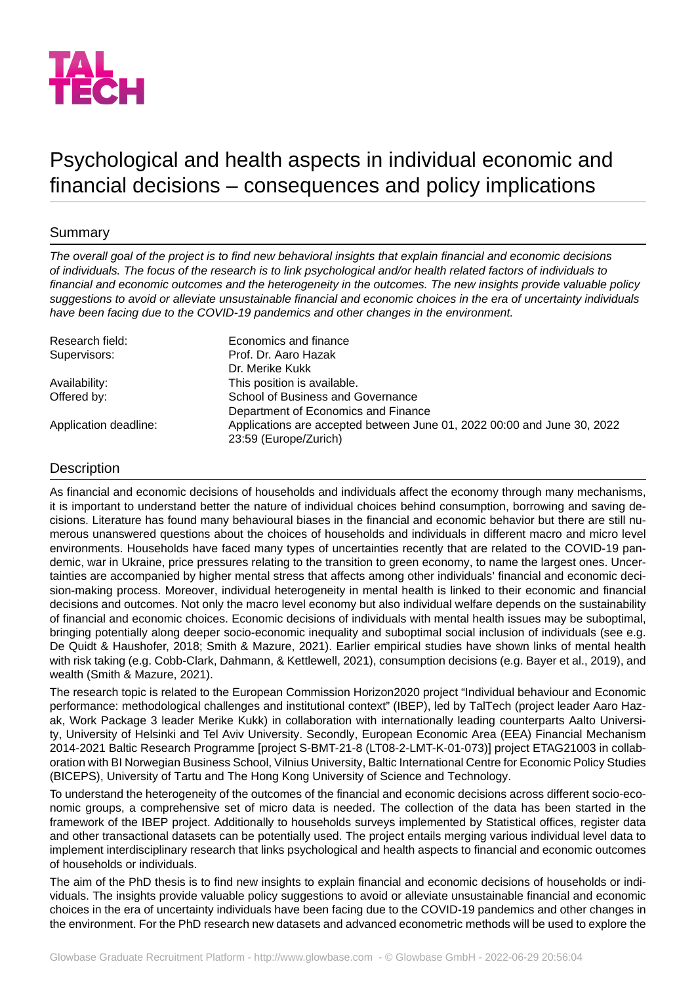

# Psychological and health aspects in individual economic and financial decisions – consequences and policy implications

## Summary

*The overall goal of the project is to find new behavioral insights that explain financial and economic decisions of individuals. The focus of the research is to link psychological and/or health related factors of individuals to financial and economic outcomes and the heterogeneity in the outcomes. The new insights provide valuable policy suggestions to avoid or alleviate unsustainable financial and economic choices in the era of uncertainty individuals have been facing due to the COVID-19 pandemics and other changes in the environment.*

| Research field:       | Economics and finance                                                                            |
|-----------------------|--------------------------------------------------------------------------------------------------|
| Supervisors:          | Prof. Dr. Aaro Hazak                                                                             |
|                       | Dr. Merike Kukk                                                                                  |
| Availability:         | This position is available.                                                                      |
| Offered by:           | School of Business and Governance                                                                |
|                       | Department of Economics and Finance                                                              |
| Application deadline: | Applications are accepted between June 01, 2022 00:00 and June 30, 2022<br>23:59 (Europe/Zurich) |

### **Description**

As financial and economic decisions of households and individuals affect the economy through many mechanisms, it is important to understand better the nature of individual choices behind consumption, borrowing and saving decisions. Literature has found many behavioural biases in the financial and economic behavior but there are still numerous unanswered questions about the choices of households and individuals in different macro and micro level environments. Households have faced many types of uncertainties recently that are related to the COVID-19 pandemic, war in Ukraine, price pressures relating to the transition to green economy, to name the largest ones. Uncertainties are accompanied by higher mental stress that affects among other individuals' financial and economic decision-making process. Moreover, individual heterogeneity in mental health is linked to their economic and financial decisions and outcomes. Not only the macro level economy but also individual welfare depends on the sustainability of financial and economic choices. Economic decisions of individuals with mental health issues may be suboptimal, bringing potentially along deeper socio-economic inequality and suboptimal social inclusion of individuals (see e.g. De Quidt & Haushofer, 2018; Smith & Mazure, 2021). Earlier empirical studies have shown links of mental health with risk taking (e.g. Cobb-Clark, Dahmann, & Kettlewell, 2021), consumption decisions (e.g. Bayer et al., 2019), and wealth (Smith & Mazure, 2021).

The research topic is related to the European Commission Horizon2020 project "Individual behaviour and Economic performance: methodological challenges and institutional context" (IBEP), led by TalTech (project leader Aaro Hazak, Work Package 3 leader Merike Kukk) in collaboration with internationally leading counterparts Aalto University, University of Helsinki and Tel Aviv University. Secondly, European Economic Area (EEA) Financial Mechanism 2014-2021 Baltic Research Programme [project S-BMT-21-8 (LT08-2-LMT-K-01-073)] project ETAG21003 in collaboration with BI Norwegian Business School, Vilnius University, Baltic International Centre for Economic Policy Studies (BICEPS), University of Tartu and The Hong Kong University of Science and Technology.

To understand the heterogeneity of the outcomes of the financial and economic decisions across different socio-economic groups, a comprehensive set of micro data is needed. The collection of the data has been started in the framework of the IBEP project. Additionally to households surveys implemented by Statistical offices, register data and other transactional datasets can be potentially used. The project entails merging various individual level data to implement interdisciplinary research that links psychological and health aspects to financial and economic outcomes of households or individuals.

The aim of the PhD thesis is to find new insights to explain financial and economic decisions of households or individuals. The insights provide valuable policy suggestions to avoid or alleviate unsustainable financial and economic choices in the era of uncertainty individuals have been facing due to the COVID-19 pandemics and other changes in the environment. For the PhD research new datasets and advanced econometric methods will be used to explore the